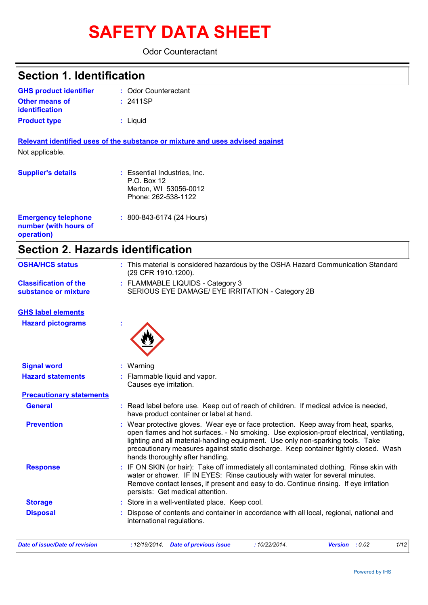# **SAFETY DATA SHEET**

Odor Counteractant

| <b>Section 1. Identification</b>                                  |                                                                                               |  |  |  |
|-------------------------------------------------------------------|-----------------------------------------------------------------------------------------------|--|--|--|
| <b>GHS product identifier</b>                                     | : Odor Counteractant                                                                          |  |  |  |
| <b>Other means of</b><br><i>identification</i>                    | : 2411SP                                                                                      |  |  |  |
| <b>Product type</b>                                               | : Liquid                                                                                      |  |  |  |
| Not applicable.                                                   | Relevant identified uses of the substance or mixture and uses advised against                 |  |  |  |
| <b>Supplier's details</b>                                         | : Essential Industries, Inc.<br>$P.O.$ Box 12<br>Merton, WI 53056-0012<br>Phone: 262-538-1122 |  |  |  |
| <b>Emergency telephone</b><br>number (with hours of<br>operation) | $: 800 - 843 - 6174$ (24 Hours)                                                               |  |  |  |

# **Section 2. Hazards identification**

| <b>OSHA/HCS status</b>                               | : This material is considered hazardous by the OSHA Hazard Communication Standard<br>(29 CFR 1910.1200).                                                                                                                                                                                                                                                                                       |  |  |  |  |  |
|------------------------------------------------------|------------------------------------------------------------------------------------------------------------------------------------------------------------------------------------------------------------------------------------------------------------------------------------------------------------------------------------------------------------------------------------------------|--|--|--|--|--|
| <b>Classification of the</b><br>substance or mixture | : FLAMMABLE LIQUIDS - Category 3<br>SERIOUS EYE DAMAGE/ EYE IRRITATION - Category 2B                                                                                                                                                                                                                                                                                                           |  |  |  |  |  |
| <b>GHS label elements</b>                            |                                                                                                                                                                                                                                                                                                                                                                                                |  |  |  |  |  |
| <b>Hazard pictograms</b>                             |                                                                                                                                                                                                                                                                                                                                                                                                |  |  |  |  |  |
| <b>Signal word</b>                                   | : Warning                                                                                                                                                                                                                                                                                                                                                                                      |  |  |  |  |  |
| <b>Hazard statements</b>                             | : Flammable liquid and vapor.<br>Causes eye irritation.                                                                                                                                                                                                                                                                                                                                        |  |  |  |  |  |
| <b>Precautionary statements</b>                      |                                                                                                                                                                                                                                                                                                                                                                                                |  |  |  |  |  |
| <b>General</b>                                       | : Read label before use. Keep out of reach of children. If medical advice is needed,<br>have product container or label at hand.                                                                                                                                                                                                                                                               |  |  |  |  |  |
| <b>Prevention</b>                                    | : Wear protective gloves. Wear eye or face protection. Keep away from heat, sparks,<br>open flames and hot surfaces. - No smoking. Use explosion-proof electrical, ventilating,<br>lighting and all material-handling equipment. Use only non-sparking tools. Take<br>precautionary measures against static discharge. Keep container tightly closed. Wash<br>hands thoroughly after handling. |  |  |  |  |  |
| <b>Response</b>                                      | : IF ON SKIN (or hair): Take off immediately all contaminated clothing. Rinse skin with<br>water or shower. IF IN EYES: Rinse cautiously with water for several minutes.<br>Remove contact lenses, if present and easy to do. Continue rinsing. If eye irritation<br>persists: Get medical attention.                                                                                          |  |  |  |  |  |
| <b>Storage</b>                                       | : Store in a well-ventilated place. Keep cool.                                                                                                                                                                                                                                                                                                                                                 |  |  |  |  |  |
| <b>Disposal</b>                                      | Dispose of contents and container in accordance with all local, regional, national and<br>international regulations.                                                                                                                                                                                                                                                                           |  |  |  |  |  |

*Date of issue/Date of revision* **:** *12/19/2014. Date of previous issue : 10/22/2014. Version : 0.02 1/12*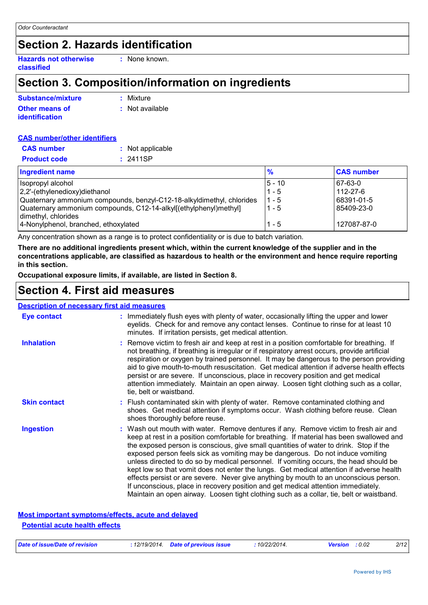### **Section 2. Hazards identification**

**Hazards not otherwise classified**

### **Section 3. Composition/information on ingredients**

**:** None known.

| Substance/mixture     | : Mixture       |
|-----------------------|-----------------|
| <b>Other means of</b> | : Not available |
| <b>identification</b> |                 |

| <b>CAS number/other identifiers</b> |                  |  |
|-------------------------------------|------------------|--|
| <b>CAS</b> number                   | : Not applicable |  |
| <b>Product code</b>                 | : 2411SP         |  |
|                                     |                  |  |

| <b>Ingredient name</b>                                                | $\frac{9}{6}$ | <b>CAS number</b> |
|-----------------------------------------------------------------------|---------------|-------------------|
| Isopropyl alcohol                                                     | $ 5 - 10 $    | 67-63-0           |
| 2,2'-(ethylenedioxy)diethanol                                         | $1 - 5$       | 112-27-6          |
| Quaternary ammonium compounds, benzyl-C12-18-alkyldimethyl, chlorides | $1 - 5$       | 68391-01-5        |
| Quaternary ammonium compounds, C12-14-alkyl[(ethylphenyl)methyl]      | $1 - 5$       | 85409-23-0        |
| dimethyl, chlorides<br>4-Nonylphenol, branched, ethoxylated           | $1 - 5$       | 127087-87-0       |

Any concentration shown as a range is to protect confidentiality or is due to batch variation.

**There are no additional ingredients present which, within the current knowledge of the supplier and in the concentrations applicable, are classified as hazardous to health or the environment and hence require reporting in this section.**

**Occupational exposure limits, if available, are listed in Section 8.**

### **Section 4. First aid measures**

#### **: Description of necessary first aid measures**

| Eye contact         | : Immediately flush eyes with plenty of water, occasionally lifting the upper and lower<br>eyelids. Check for and remove any contact lenses. Continue to rinse for at least 10<br>minutes. If irritation persists, get medical attention.                                                                                                                                                                                                                                                                                                                                                                                                                                                                                                                                                                                 |
|---------------------|---------------------------------------------------------------------------------------------------------------------------------------------------------------------------------------------------------------------------------------------------------------------------------------------------------------------------------------------------------------------------------------------------------------------------------------------------------------------------------------------------------------------------------------------------------------------------------------------------------------------------------------------------------------------------------------------------------------------------------------------------------------------------------------------------------------------------|
| <b>Inhalation</b>   | : Remove victim to fresh air and keep at rest in a position comfortable for breathing. If<br>not breathing, if breathing is irregular or if respiratory arrest occurs, provide artificial<br>respiration or oxygen by trained personnel. It may be dangerous to the person providing<br>aid to give mouth-to-mouth resuscitation. Get medical attention if adverse health effects<br>persist or are severe. If unconscious, place in recovery position and get medical<br>attention immediately. Maintain an open airway. Loosen tight clothing such as a collar,<br>tie, belt or waistband.                                                                                                                                                                                                                              |
| <b>Skin contact</b> | : Flush contaminated skin with plenty of water. Remove contaminated clothing and<br>shoes. Get medical attention if symptoms occur. Wash clothing before reuse. Clean<br>shoes thoroughly before reuse.                                                                                                                                                                                                                                                                                                                                                                                                                                                                                                                                                                                                                   |
| <b>Ingestion</b>    | : Wash out mouth with water. Remove dentures if any. Remove victim to fresh air and<br>keep at rest in a position comfortable for breathing. If material has been swallowed and<br>the exposed person is conscious, give small quantities of water to drink. Stop if the<br>exposed person feels sick as vomiting may be dangerous. Do not induce vomiting<br>unless directed to do so by medical personnel. If vomiting occurs, the head should be<br>kept low so that vomit does not enter the lungs. Get medical attention if adverse health<br>effects persist or are severe. Never give anything by mouth to an unconscious person.<br>If unconscious, place in recovery position and get medical attention immediately.<br>Maintain an open airway. Loosen tight clothing such as a collar, tie, belt or waistband. |

#### **Most important symptoms/effects, acute and delayed Potential acute health effects**

| Date of issue/Date of revision | : 12/19/2014 Date of previous issue | 10/22/2014. | <b>Version</b> : 0.02 | 2/12 |
|--------------------------------|-------------------------------------|-------------|-----------------------|------|
|                                |                                     |             |                       |      |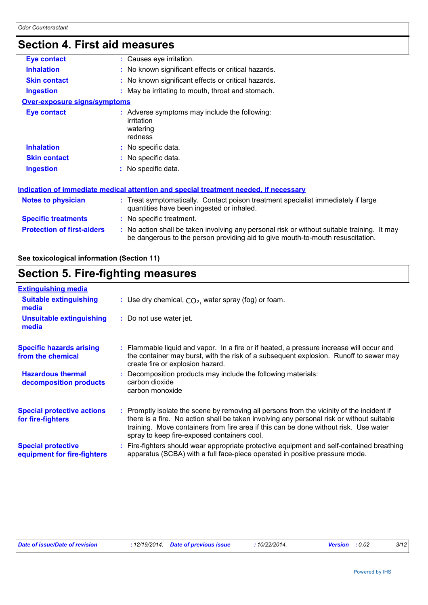### **Section 4. First aid measures**

| Eye contact                         | : Causes eye irritation.                                                                                                                                                      |
|-------------------------------------|-------------------------------------------------------------------------------------------------------------------------------------------------------------------------------|
| <b>Inhalation</b>                   | : No known significant effects or critical hazards.                                                                                                                           |
| <b>Skin contact</b>                 | : No known significant effects or critical hazards.                                                                                                                           |
| <b>Ingestion</b>                    | : May be irritating to mouth, throat and stomach.                                                                                                                             |
| <b>Over-exposure signs/symptoms</b> |                                                                                                                                                                               |
| <b>Eye contact</b>                  | : Adverse symptoms may include the following:<br>irritation<br>watering<br>redness                                                                                            |
| <b>Inhalation</b>                   | : No specific data.                                                                                                                                                           |
| <b>Skin contact</b>                 | : No specific data.                                                                                                                                                           |
| <b>Ingestion</b>                    | : No specific data.                                                                                                                                                           |
|                                     | Indication of immediate medical attention and special treatment needed, if necessary                                                                                          |
| Notes to physician                  | : Treat symptomatically. Contact poison treatment specialist immediately if large<br>quantities have been ingested or inhaled.                                                |
| <b>Specific treatments</b>          | : No specific treatment.                                                                                                                                                      |
| <b>Protection of first-aiders</b>   | : No action shall be taken involving any personal risk or without suitable training. It may<br>be dangerous to the person providing aid to give mouth-to-mouth resuscitation. |

#### **See toxicological information (Section 11)**

### **Section 5. Fire-fighting measures**

| <b>Extinguishing media</b>                               |                                                                                                                                                                                                                                                                                                                               |
|----------------------------------------------------------|-------------------------------------------------------------------------------------------------------------------------------------------------------------------------------------------------------------------------------------------------------------------------------------------------------------------------------|
| <b>Suitable extinguishing</b><br>media                   | : Use dry chemical, $CO2$ , water spray (fog) or foam.                                                                                                                                                                                                                                                                        |
| <b>Unsuitable extinguishing</b><br>media                 | : Do not use water jet.                                                                                                                                                                                                                                                                                                       |
| <b>Specific hazards arising</b><br>from the chemical     | : Flammable liquid and vapor. In a fire or if heated, a pressure increase will occur and<br>the container may burst, with the risk of a subsequent explosion. Runoff to sewer may<br>create fire or explosion hazard.                                                                                                         |
| <b>Hazardous thermal</b><br>decomposition products       | Decomposition products may include the following materials:<br>carbon dioxide<br>carbon monoxide                                                                                                                                                                                                                              |
| <b>Special protective actions</b><br>for fire-fighters   | : Promptly isolate the scene by removing all persons from the vicinity of the incident if<br>there is a fire. No action shall be taken involving any personal risk or without suitable<br>training. Move containers from fire area if this can be done without risk. Use water<br>spray to keep fire-exposed containers cool. |
| <b>Special protective</b><br>equipment for fire-fighters | Fire-fighters should wear appropriate protective equipment and self-contained breathing<br>apparatus (SCBA) with a full face-piece operated in positive pressure mode.                                                                                                                                                        |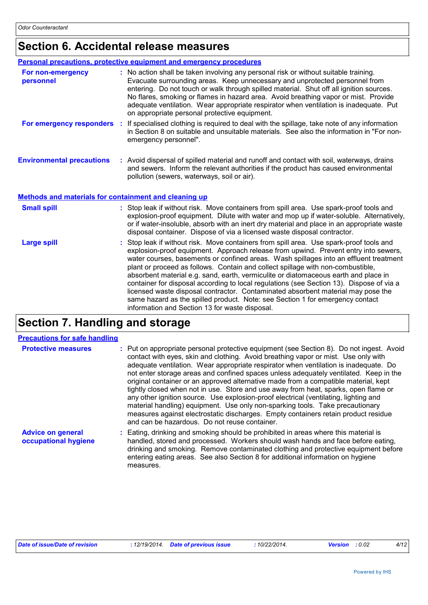# **Section 6. Accidental release measures**

|                                                       | Personal precautions, protective equipment and emergency procedures                                                                                                                                                                                                                                                                                                                                                                                                                                                                                                                                                                                                                                                                                                |  |  |  |  |  |
|-------------------------------------------------------|--------------------------------------------------------------------------------------------------------------------------------------------------------------------------------------------------------------------------------------------------------------------------------------------------------------------------------------------------------------------------------------------------------------------------------------------------------------------------------------------------------------------------------------------------------------------------------------------------------------------------------------------------------------------------------------------------------------------------------------------------------------------|--|--|--|--|--|
| For non-emergency<br>personnel                        | : No action shall be taken involving any personal risk or without suitable training.<br>Evacuate surrounding areas. Keep unnecessary and unprotected personnel from<br>entering. Do not touch or walk through spilled material. Shut off all ignition sources.<br>No flares, smoking or flames in hazard area. Avoid breathing vapor or mist. Provide<br>adequate ventilation. Wear appropriate respirator when ventilation is inadequate. Put<br>on appropriate personal protective equipment.                                                                                                                                                                                                                                                                    |  |  |  |  |  |
| For emergency responders                              | If specialised clothing is required to deal with the spillage, take note of any information<br>in Section 8 on suitable and unsuitable materials. See also the information in "For non-<br>emergency personnel".                                                                                                                                                                                                                                                                                                                                                                                                                                                                                                                                                   |  |  |  |  |  |
| <b>Environmental precautions</b>                      | : Avoid dispersal of spilled material and runoff and contact with soil, waterways, drains<br>and sewers. Inform the relevant authorities if the product has caused environmental<br>pollution (sewers, waterways, soil or air).                                                                                                                                                                                                                                                                                                                                                                                                                                                                                                                                    |  |  |  |  |  |
| Methods and materials for containment and cleaning up |                                                                                                                                                                                                                                                                                                                                                                                                                                                                                                                                                                                                                                                                                                                                                                    |  |  |  |  |  |
| <b>Small spill</b>                                    | : Stop leak if without risk. Move containers from spill area. Use spark-proof tools and<br>explosion-proof equipment. Dilute with water and mop up if water-soluble. Alternatively,<br>or if water-insoluble, absorb with an inert dry material and place in an appropriate waste<br>disposal container. Dispose of via a licensed waste disposal contractor.                                                                                                                                                                                                                                                                                                                                                                                                      |  |  |  |  |  |
| <b>Large spill</b>                                    | Stop leak if without risk. Move containers from spill area. Use spark-proof tools and<br>explosion-proof equipment. Approach release from upwind. Prevent entry into sewers,<br>water courses, basements or confined areas. Wash spillages into an effluent treatment<br>plant or proceed as follows. Contain and collect spillage with non-combustible,<br>absorbent material e.g. sand, earth, vermiculite or diatomaceous earth and place in<br>container for disposal according to local regulations (see Section 13). Dispose of via a<br>licensed waste disposal contractor. Contaminated absorbent material may pose the<br>same hazard as the spilled product. Note: see Section 1 for emergency contact<br>information and Section 13 for waste disposal. |  |  |  |  |  |

# **Section 7. Handling and storage**

#### **Precautions for safe handling**

| <b>Protective measures</b>                       | : Put on appropriate personal protective equipment (see Section 8). Do not ingest. Avoid<br>contact with eyes, skin and clothing. Avoid breathing vapor or mist. Use only with<br>adequate ventilation. Wear appropriate respirator when ventilation is inadequate. Do<br>not enter storage areas and confined spaces unless adequately ventilated. Keep in the<br>original container or an approved alternative made from a compatible material, kept<br>tightly closed when not in use. Store and use away from heat, sparks, open flame or<br>any other ignition source. Use explosion-proof electrical (ventilating, lighting and<br>material handling) equipment. Use only non-sparking tools. Take precautionary<br>measures against electrostatic discharges. Empty containers retain product residue<br>and can be hazardous. Do not reuse container. |
|--------------------------------------------------|---------------------------------------------------------------------------------------------------------------------------------------------------------------------------------------------------------------------------------------------------------------------------------------------------------------------------------------------------------------------------------------------------------------------------------------------------------------------------------------------------------------------------------------------------------------------------------------------------------------------------------------------------------------------------------------------------------------------------------------------------------------------------------------------------------------------------------------------------------------|
| <b>Advice on general</b><br>occupational hygiene | : Eating, drinking and smoking should be prohibited in areas where this material is<br>handled, stored and processed. Workers should wash hands and face before eating,<br>drinking and smoking. Remove contaminated clothing and protective equipment before<br>entering eating areas. See also Section 8 for additional information on hygiene<br>measures.                                                                                                                                                                                                                                                                                                                                                                                                                                                                                                 |

| Date of issue/Date of revision | 12/19/2014. | <b>Date of previous issue</b> | 10/22/2014. | Version | :0.02 | 4/12 |
|--------------------------------|-------------|-------------------------------|-------------|---------|-------|------|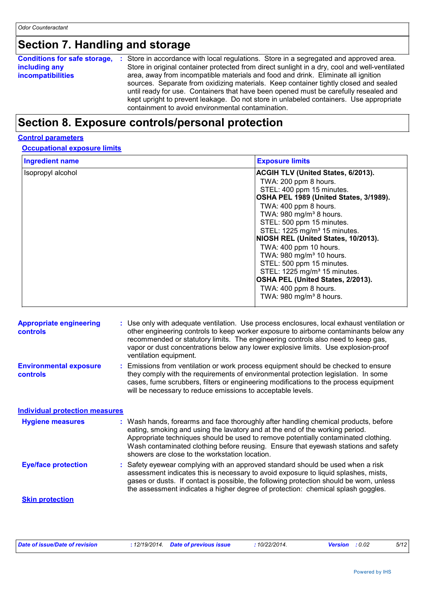# **Section 7. Handling and storage**

| <b>Conditions for safe storage,</b> | : Store in accordance with local regulations. Store in a segregated and approved area.        |
|-------------------------------------|-----------------------------------------------------------------------------------------------|
| including any                       | Store in original container protected from direct sunlight in a dry, cool and well-ventilated |
| <b>incompatibilities</b>            | area, away from incompatible materials and food and drink. Eliminate all ignition             |
|                                     | sources. Separate from oxidizing materials. Keep container tightly closed and sealed          |
|                                     | until ready for use. Containers that have been opened must be carefully resealed and          |
|                                     | kept upright to prevent leakage. Do not store in unlabeled containers. Use appropriate        |
|                                     | containment to avoid environmental contamination.                                             |

### **Section 8. Exposure controls/personal protection**

#### **Control parameters**

#### **Occupational exposure limits**

| <b>Ingredient name</b> | <b>Exposure limits</b>                   |
|------------------------|------------------------------------------|
| Isopropyl alcohol      | ACGIH TLV (United States, 6/2013).       |
|                        | TWA: 200 ppm 8 hours.                    |
|                        | STEL: 400 ppm 15 minutes.                |
|                        | OSHA PEL 1989 (United States, 3/1989).   |
|                        | TWA: 400 ppm 8 hours.                    |
|                        | TWA: 980 mg/m <sup>3</sup> 8 hours.      |
|                        | STEL: 500 ppm 15 minutes.                |
|                        | STEL: 1225 mg/m <sup>3</sup> 15 minutes. |
|                        | NIOSH REL (United States, 10/2013).      |
|                        | TWA: 400 ppm 10 hours.                   |
|                        | TWA: 980 mg/m <sup>3</sup> 10 hours.     |
|                        | STEL: 500 ppm 15 minutes.                |
|                        | STEL: 1225 mg/m <sup>3</sup> 15 minutes. |
|                        | OSHA PEL (United States, 2/2013).        |
|                        | TWA: 400 ppm 8 hours.                    |
|                        | TWA: $980$ mg/m <sup>3</sup> 8 hours.    |
|                        |                                          |

| <b>Appropriate engineering</b><br><b>controls</b> | : Use only with adequate ventilation. Use process enclosures, local exhaust ventilation or<br>other engineering controls to keep worker exposure to airborne contaminants below any<br>recommended or statutory limits. The engineering controls also need to keep gas,<br>vapor or dust concentrations below any lower explosive limits. Use explosion-proof<br>ventilation equipment.           |
|---------------------------------------------------|---------------------------------------------------------------------------------------------------------------------------------------------------------------------------------------------------------------------------------------------------------------------------------------------------------------------------------------------------------------------------------------------------|
| <b>Environmental exposure</b><br><b>controls</b>  | : Emissions from ventilation or work process equipment should be checked to ensure<br>they comply with the requirements of environmental protection legislation. In some<br>cases, fume scrubbers, filters or engineering modifications to the process equipment<br>will be necessary to reduce emissions to acceptable levels.                                                                   |
| <b>Individual protection measures</b>             |                                                                                                                                                                                                                                                                                                                                                                                                   |
| <b>Hygiene measures</b>                           | : Wash hands, forearms and face thoroughly after handling chemical products, before<br>eating, smoking and using the lavatory and at the end of the working period.<br>Appropriate techniques should be used to remove potentially contaminated clothing.<br>Wash contaminated clothing before reusing. Ensure that eyewash stations and safety<br>showers are close to the workstation location. |
| <b>Eye/face protection</b>                        | : Safety eyewear complying with an approved standard should be used when a risk<br>assessment indicates this is necessary to avoid exposure to liquid splashes, mists,<br>gases or dusts. If contact is possible, the following protection should be worn, unless<br>the assessment indicates a higher degree of protection: chemical splash goggles.                                             |
| <b>Skin protection</b>                            |                                                                                                                                                                                                                                                                                                                                                                                                   |

| Date of issue/Date of revision |  | : 12/19/2014 Date of previous issue | : 10/22/2014. | <b>Version</b> : 0.02 | 5/12 |
|--------------------------------|--|-------------------------------------|---------------|-----------------------|------|
|--------------------------------|--|-------------------------------------|---------------|-----------------------|------|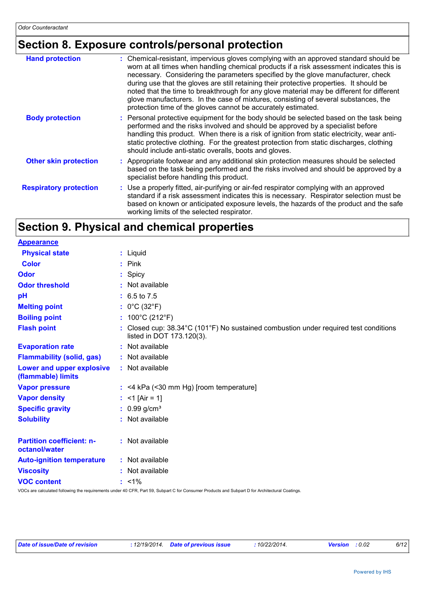### **Section 8. Exposure controls/personal protection**

| <b>Hand protection</b>        | : Chemical-resistant, impervious gloves complying with an approved standard should be<br>worn at all times when handling chemical products if a risk assessment indicates this is<br>necessary. Considering the parameters specified by the glove manufacturer, check<br>during use that the gloves are still retaining their protective properties. It should be<br>noted that the time to breakthrough for any glove material may be different for different<br>glove manufacturers. In the case of mixtures, consisting of several substances, the<br>protection time of the gloves cannot be accurately estimated. |
|-------------------------------|------------------------------------------------------------------------------------------------------------------------------------------------------------------------------------------------------------------------------------------------------------------------------------------------------------------------------------------------------------------------------------------------------------------------------------------------------------------------------------------------------------------------------------------------------------------------------------------------------------------------|
| <b>Body protection</b>        | : Personal protective equipment for the body should be selected based on the task being<br>performed and the risks involved and should be approved by a specialist before<br>handling this product. When there is a risk of ignition from static electricity, wear anti-<br>static protective clothing. For the greatest protection from static discharges, clothing<br>should include anti-static overalls, boots and gloves.                                                                                                                                                                                         |
| <b>Other skin protection</b>  | : Appropriate footwear and any additional skin protection measures should be selected<br>based on the task being performed and the risks involved and should be approved by a<br>specialist before handling this product.                                                                                                                                                                                                                                                                                                                                                                                              |
| <b>Respiratory protection</b> | : Use a properly fitted, air-purifying or air-fed respirator complying with an approved<br>standard if a risk assessment indicates this is necessary. Respirator selection must be<br>based on known or anticipated exposure levels, the hazards of the product and the safe<br>working limits of the selected respirator.                                                                                                                                                                                                                                                                                             |

# **Section 9. Physical and chemical properties**

| <b>Appearance</b>                                 |                                                                                                                   |
|---------------------------------------------------|-------------------------------------------------------------------------------------------------------------------|
| <b>Physical state</b>                             | : Liquid                                                                                                          |
| <b>Color</b>                                      | $:$ Pink                                                                                                          |
| Odor                                              | : Spicy                                                                                                           |
| <b>Odor threshold</b>                             | : Not available                                                                                                   |
| pH                                                | $: 6.5 \text{ to } 7.5$                                                                                           |
| <b>Melting point</b>                              | : $0^{\circ}$ C (32 $^{\circ}$ F)                                                                                 |
| <b>Boiling point</b>                              | : $100^{\circ}$ C (212 $^{\circ}$ F)                                                                              |
| <b>Flash point</b>                                | : Closed cup: 38.34°C (101°F) No sustained combustion under required test conditions<br>listed in DOT 173.120(3). |
| <b>Evaporation rate</b>                           | : Not available                                                                                                   |
| <b>Flammability (solid, gas)</b>                  | : Not available                                                                                                   |
| Lower and upper explosive<br>(flammable) limits   | : Not available                                                                                                   |
| <b>Vapor pressure</b>                             | $:$ <4 kPa (<30 mm Hg) [room temperature]                                                                         |
| <b>Vapor density</b>                              | : <1 [Air = 1]                                                                                                    |
| <b>Specific gravity</b>                           | : $0.99$ g/cm <sup>3</sup>                                                                                        |
| <b>Solubility</b>                                 | : Not available                                                                                                   |
| <b>Partition coefficient: n-</b><br>octanol/water | : Not available                                                                                                   |
| <b>Auto-ignition temperature</b>                  | : Not available                                                                                                   |
| <b>Viscosity</b>                                  | : Not available                                                                                                   |
| <b>VOC content</b>                                | $: 1\%$                                                                                                           |
|                                                   |                                                                                                                   |

VOCs are calculated following the requirements under 40 CFR, Part 59, Subpart C for Consumer Products and Subpart D for Architectural Coatings.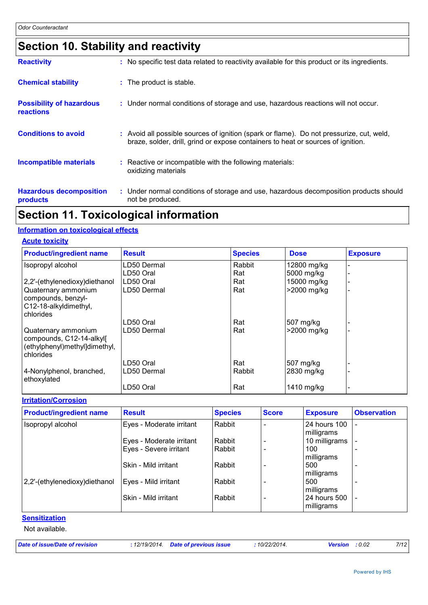# **Section 10. Stability and reactivity**

| <b>Hazardous decomposition</b><br>products          | : Under normal conditions of storage and use, hazardous decomposition products should<br>not be produced.                                                                    |
|-----------------------------------------------------|------------------------------------------------------------------------------------------------------------------------------------------------------------------------------|
| <b>Incompatible materials</b>                       | : Reactive or incompatible with the following materials:<br>oxidizing materials                                                                                              |
| <b>Conditions to avoid</b>                          | : Avoid all possible sources of ignition (spark or flame). Do not pressurize, cut, weld,<br>braze, solder, drill, grind or expose containers to heat or sources of ignition. |
| <b>Possibility of hazardous</b><br><b>reactions</b> | : Under normal conditions of storage and use, hazardous reactions will not occur.                                                                                            |
| <b>Chemical stability</b>                           | : The product is stable.                                                                                                                                                     |
| <b>Reactivity</b>                                   | : No specific test data related to reactivity available for this product or its ingredients.                                                                                 |

### **Section 11. Toxicological information**

#### **Information on toxicological effects**

| <b>Acute toxicity</b>                                                                         |               |                |             |                 |
|-----------------------------------------------------------------------------------------------|---------------|----------------|-------------|-----------------|
| <b>Product/ingredient name</b>                                                                | <b>Result</b> | <b>Species</b> | <b>Dose</b> | <b>Exposure</b> |
| Isopropyl alcohol                                                                             | LD50 Dermal   | Rabbit         | 12800 mg/kg |                 |
|                                                                                               | LD50 Oral     | Rat            | 5000 mg/kg  |                 |
| 2,2'-(ethylenedioxy)diethanol                                                                 | LD50 Oral     | Rat            | 15000 mg/kg |                 |
| Quaternary ammonium<br>compounds, benzyl-<br>C12-18-alkyldimethyl,<br>chlorides               | LD50 Dermal   | Rat            | >2000 mg/kg |                 |
|                                                                                               | LD50 Oral     | Rat            | 507 mg/kg   |                 |
| Quaternary ammonium<br>compounds, C12-14-alkyl[<br>(ethylphenyl)methyl]dimethyl,<br>chlorides | LD50 Dermal   | Rat            | >2000 mg/kg |                 |
|                                                                                               | LD50 Oral     | Rat            | 507 mg/kg   |                 |
| 4-Nonylphenol, branched,<br>ethoxylated                                                       | LD50 Dermal   | Rabbit         | 2830 mg/kg  |                 |
|                                                                                               | LD50 Oral     | Rat            | 1410 mg/kg  |                 |

#### **Irritation/Corrosion**

| <b>Product/ingredient name</b> | <b>Result</b>            | <b>Species</b> | <b>Score</b> | <b>Exposure</b>            | <b>Observation</b> |
|--------------------------------|--------------------------|----------------|--------------|----------------------------|--------------------|
| Isopropyl alcohol              | Eyes - Moderate irritant | Rabbit         |              | 24 hours 100<br>milligrams |                    |
|                                | Eyes - Moderate irritant | Rabbit         |              | 10 milligrams              |                    |
|                                | Eyes - Severe irritant   | Rabbit         |              | 100                        |                    |
|                                |                          |                |              | milligrams                 |                    |
|                                | Skin - Mild irritant     | Rabbit         |              | 500<br>milligrams          |                    |
| 2,2'-(ethylenedioxy)diethanol  | Eyes - Mild irritant     | Rabbit         |              | 500                        |                    |
|                                |                          |                |              | milligrams                 |                    |
|                                | Skin - Mild irritant     | Rabbit         |              | 24 hours 500               |                    |
|                                |                          |                |              | milligrams                 |                    |

#### **Sensitization**

Not available.

*Date of issue/Date of revision* **:** *12/19/2014. Date of previous issue : 10/22/2014. Version : 0.02 7/12*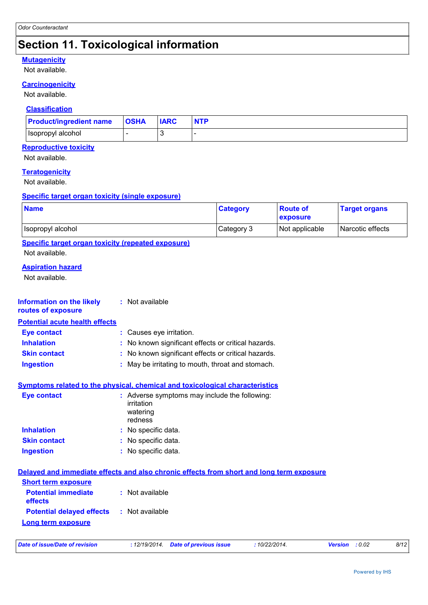# **Section 11. Toxicological information**

#### **Mutagenicity**

Not available.

#### **Carcinogenicity**

Not available.

#### **Classification**

| <b>Product/ingredient name</b> | $ $ OSHA | <b>IARC</b> | <b>NTP</b> |
|--------------------------------|----------|-------------|------------|
| Hsopropyl alcohol              |          |             |            |

#### **Reproductive toxicity**

Not available.

#### **Teratogenicity**

Not available.

#### **Specific target organ toxicity (single exposure)**

| <b>Name</b>       | <b>Category</b> | <b>Route of</b><br><b>exposure</b> | <b>Target organs</b> |
|-------------------|-----------------|------------------------------------|----------------------|
| Isopropyl alcohol | Category 3      | Not applicable                     | Narcotic effects     |

**Specific target organ toxicity (repeated exposure)**

Not available.

#### **Aspiration hazard**

Not available.

| Information on the likely<br>routes of exposure | : Not available                                                                          |
|-------------------------------------------------|------------------------------------------------------------------------------------------|
| <b>Potential acute health effects</b>           |                                                                                          |
| <b>Eye contact</b>                              | : Causes eye irritation.                                                                 |
| <b>Inhalation</b>                               | : No known significant effects or critical hazards.                                      |
| <b>Skin contact</b>                             | : No known significant effects or critical hazards.                                      |
| <b>Ingestion</b>                                | : May be irritating to mouth, throat and stomach.                                        |
|                                                 | <b>Symptoms related to the physical, chemical and toxicological characteristics</b>      |
| <b>Eye contact</b>                              | : Adverse symptoms may include the following:<br>irritation<br>watering<br>redness       |
| <b>Inhalation</b>                               | : No specific data.                                                                      |
| <b>Skin contact</b>                             | : No specific data.                                                                      |
| <b>Ingestion</b>                                | : No specific data.                                                                      |
|                                                 | Delayed and immediate effects and also chronic effects from short and long term exposure |
| <b>Short term exposure</b>                      |                                                                                          |
| <b>Potential immediate</b><br>effects           | $:$ Not available                                                                        |
| <b>Potential delayed effects</b>                | : Not available                                                                          |

#### **Long term exposure**

| Date of issue/Date of revision | : 12/19/2014 Date of previous issue | 10/22/2014. | <b>Version</b> : 0.02 | 8/12 |
|--------------------------------|-------------------------------------|-------------|-----------------------|------|
|                                |                                     |             |                       |      |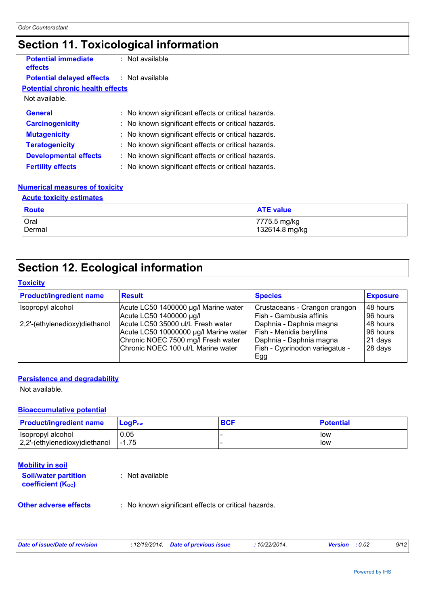# **Section 11. Toxicological information**

| <b>Potential immediate</b><br>effects   | : Not available                                     |
|-----------------------------------------|-----------------------------------------------------|
| <b>Potential delayed effects</b>        | $:$ Not available                                   |
| <b>Potential chronic health effects</b> |                                                     |
| Not available.                          |                                                     |
| <b>General</b>                          | : No known significant effects or critical hazards. |
| <b>Carcinogenicity</b>                  | : No known significant effects or critical hazards. |
| <b>Mutagenicity</b>                     | : No known significant effects or critical hazards. |
| <b>Teratogenicity</b>                   | : No known significant effects or critical hazards. |
| <b>Developmental effects</b>            | : No known significant effects or critical hazards. |
| <b>Fertility effects</b>                | : No known significant effects or critical hazards. |

#### **Numerical measures of toxicity**

| <b>Acute toxicity estimates</b> |                                |  |  |  |
|---------------------------------|--------------------------------|--|--|--|
| Route                           | <b>ATE value</b>               |  |  |  |
| Oral<br>Dermal                  | 7775.5 mg/kg<br>132614.8 mg/kg |  |  |  |

# **Section 12. Ecological information**

#### **Toxicity**

| <b>Product/ingredient name</b> | <b>Result</b>                         | <b>Species</b>                 | <b>Exposure</b> |
|--------------------------------|---------------------------------------|--------------------------------|-----------------|
| Isopropyl alcohol              | Acute LC50 1400000 µg/l Marine water  | Crustaceans - Crangon crangon  | 48 hours        |
|                                | Acute LC50 1400000 µg/l               | Fish - Gambusia affinis        | 96 hours        |
| 2,2'-(ethylenedioxy)diethanol  | Acute LC50 35000 ul/L Fresh water     | Daphnia - Daphnia magna        | 48 hours        |
|                                | Acute LC50 10000000 µg/l Marine water | Fish - Menidia beryllina       | l 96 hours      |
|                                | Chronic NOEC 7500 mg/l Fresh water    | Daphnia - Daphnia magna        | 21 days         |
|                                | Chronic NOEC 100 ul/L Marine water    | Fish - Cyprinodon variegatus - | 28 days         |
|                                |                                       | Egg                            |                 |

#### **Persistence and degradability**

Not available.

#### **Bioaccumulative potential**

| <b>Product/ingredient name</b> | $LoaPow$ | <b>BCF</b> | <b>Potential</b> |
|--------------------------------|----------|------------|------------------|
| Isopropyl alcohol              | 0.05     |            | low              |
| 2,2'-(ethylenedioxy)diethanol  | $-1.75$  |            | low              |

#### **Mobility in soil**

| <b>Soil/water partition</b><br><b>coefficient (Koc)</b> | : Not available                                     |
|---------------------------------------------------------|-----------------------------------------------------|
| <b>Other adverse effects</b>                            | : No known significant effects or critical hazards. |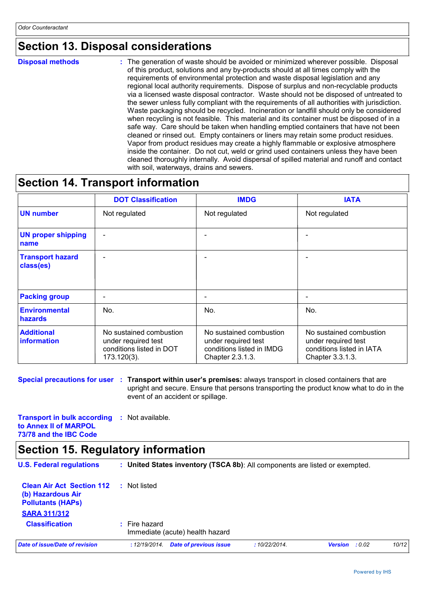### **Section 13. Disposal considerations**

**Disposal methods :**

The generation of waste should be avoided or minimized wherever possible. Disposal of this product, solutions and any by-products should at all times comply with the requirements of environmental protection and waste disposal legislation and any regional local authority requirements. Dispose of surplus and non-recyclable products via a licensed waste disposal contractor. Waste should not be disposed of untreated to the sewer unless fully compliant with the requirements of all authorities with jurisdiction. Waste packaging should be recycled. Incineration or landfill should only be considered when recycling is not feasible. This material and its container must be disposed of in a safe way. Care should be taken when handling emptied containers that have not been cleaned or rinsed out. Empty containers or liners may retain some product residues. Vapor from product residues may create a highly flammable or explosive atmosphere inside the container. Do not cut, weld or grind used containers unless they have been cleaned thoroughly internally. Avoid dispersal of spilled material and runoff and contact with soil, waterways, drains and sewers.

### **Section 14. Transport information**

|                                        | <b>DOT Classification</b>                                                                    | <b>IMDG</b>                                                                                     | <b>IATA</b>                                                                                     |
|----------------------------------------|----------------------------------------------------------------------------------------------|-------------------------------------------------------------------------------------------------|-------------------------------------------------------------------------------------------------|
| <b>UN number</b>                       | Not regulated                                                                                | Not regulated                                                                                   | Not regulated                                                                                   |
| <b>UN proper shipping</b><br>name      |                                                                                              |                                                                                                 |                                                                                                 |
| <b>Transport hazard</b><br>class(es)   |                                                                                              |                                                                                                 |                                                                                                 |
| <b>Packing group</b>                   |                                                                                              |                                                                                                 |                                                                                                 |
| <b>Environmental</b><br><b>hazards</b> | No.                                                                                          | No.                                                                                             | No.                                                                                             |
| <b>Additional</b><br>information       | No sustained combustion<br>under required test<br>conditions listed in DOT<br>$173.120(3)$ . | No sustained combustion<br>under required test<br>conditions listed in IMDG<br>Chapter 2.3.1.3. | No sustained combustion<br>under required test<br>conditions listed in IATA<br>Chapter 3.3.1.3. |

**Special precautions for user : Transport within user's premises: always transport in closed containers that are** upright and secure. Ensure that persons transporting the product know what to do in the event of an accident or spillage.

| <b>Transport in bulk according : Not available.</b> |  |
|-----------------------------------------------------|--|
| to Annex II of MARPOL                               |  |
| 73/78 and the IBC Code                              |  |

### **Section 15. Regulatory information**

| <b>U.S. Federal regulations</b>                                                                          | : United States inventory (TSCA 8b): All components are listed or exempted. |              |                          |       |
|----------------------------------------------------------------------------------------------------------|-----------------------------------------------------------------------------|--------------|--------------------------|-------|
| <b>Clean Air Act Section 112</b><br>(b) Hazardous Air<br><b>Pollutants (HAPS)</b><br><b>SARA 311/312</b> | : Not listed                                                                |              |                          |       |
| <b>Classification</b>                                                                                    | $:$ Fire hazard<br>Immediate (acute) health hazard                          |              |                          |       |
| Date of issue/Date of revision                                                                           | Date of previous issue<br>: 12/19/2014.                                     | :10/22/2014. | <b>Version</b><br>: 0.02 | 10/12 |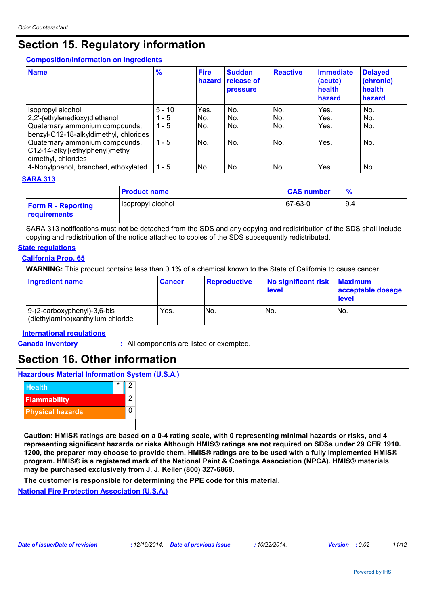### **Section 15. Regulatory information**

#### **Composition/information on ingredients**

| <b>Name</b>                                                                                                                        | $\frac{9}{6}$                  | <b>Fire</b><br>hazard | <b>Sudden</b><br><b>release of</b><br><b>pressure</b> | <b>Reactive</b>   | <b>Immediate</b><br>(acute)<br>health<br>hazard | <b>Delayed</b><br>(chronic)<br>health<br>hazard |
|------------------------------------------------------------------------------------------------------------------------------------|--------------------------------|-----------------------|-------------------------------------------------------|-------------------|-------------------------------------------------|-------------------------------------------------|
| Isopropyl alcohol<br>2,2'-(ethylenedioxy)diethanol<br>Quaternary ammonium compounds,<br>benzyl-C12-18-alkyldimethyl, chlorides     | $5 - 10$<br>$1 - 5$<br>$1 - 5$ | Yes.<br>No.<br>No.    | No.<br>No.<br>No.                                     | No.<br>No.<br>No. | Yes.<br>Yes.<br>Yes.                            | No.<br>No.<br>No.                               |
| Quaternary ammonium compounds,<br>C12-14-alkyl[(ethylphenyl)methyl]<br>dimethyl, chlorides<br>4-Nonylphenol, branched, ethoxylated | $1 - 5$<br>$1 - 5$             | No.<br>No.            | No.<br>No.                                            | No.<br>No.        | Yes.<br>Yes.                                    | No.<br>No.                                      |

#### **SARA 313**

|                                           | <b>Product name</b> | <b>CAS number</b> | $\frac{9}{6}$ |
|-------------------------------------------|---------------------|-------------------|---------------|
| <b>Form R - Reporting</b><br>requirements | Isopropyl alcohol   | 67-63-0           | 19.4          |

SARA 313 notifications must not be detached from the SDS and any copying and redistribution of the SDS shall include copying and redistribution of the notice attached to copies of the SDS subsequently redistributed.

#### **State regulations**

#### **California Prop. 65**

**WARNING:** This product contains less than 0.1% of a chemical known to the State of California to cause cancer.

| <b>Ingredient name</b>                                           | <b>Cancer</b> | Reproductive | No significant risk<br>level | <b>Maximum</b><br>acceptable dosage<br><b>level</b> |
|------------------------------------------------------------------|---------------|--------------|------------------------------|-----------------------------------------------------|
| 9-(2-carboxyphenyl)-3,6-bis<br>(diethylamino)xanthylium chloride | Yes.          | No.          | No.                          | INo.                                                |

#### **International regulations**

**Canada inventory :** All components are listed or exempted.

### **Section 16. Other information**

#### **Hazardous Material Information System (U.S.A.)**



**Caution: HMIS® ratings are based on a 0-4 rating scale, with 0 representing minimal hazards or risks, and 4 representing significant hazards or risks Although HMIS® ratings are not required on SDSs under 29 CFR 1910. 1200, the preparer may choose to provide them. HMIS® ratings are to be used with a fully implemented HMIS® program. HMIS® is a registered mark of the National Paint & Coatings Association (NPCA). HMIS® materials may be purchased exclusively from J. J. Keller (800) 327-6868.**

**The customer is responsible for determining the PPE code for this material.**

**National Fire Protection Association (U.S.A.)**